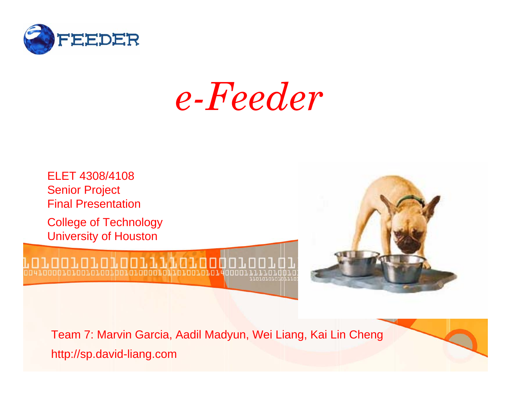

*e-Feeder*



Team 7: Marvin Garcia, Aadil Madyun, Wei Liang, Kai Lin Cheng http://sp.david-liang.com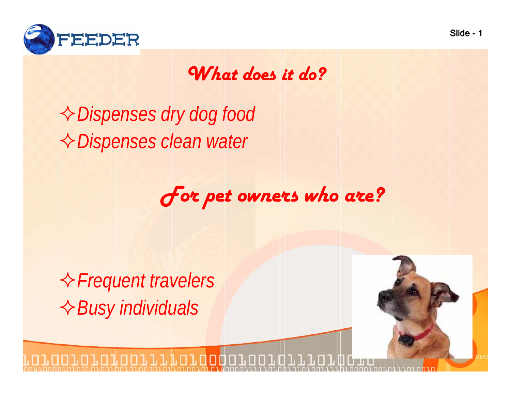

#### *What does it do?*

*Dispenses dry dog food Dispenses clean water*

*For pet owners who are?*

*Frequent travelers Busy individuals*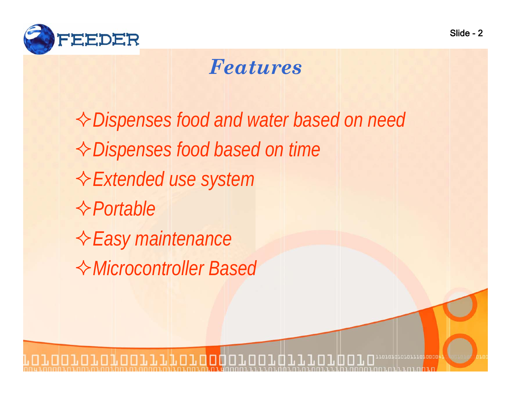

#### *Features*

*Dispenses food and water based on need Dispenses food based on time Extended use system PortableEasy maintenance Microcontroller Based*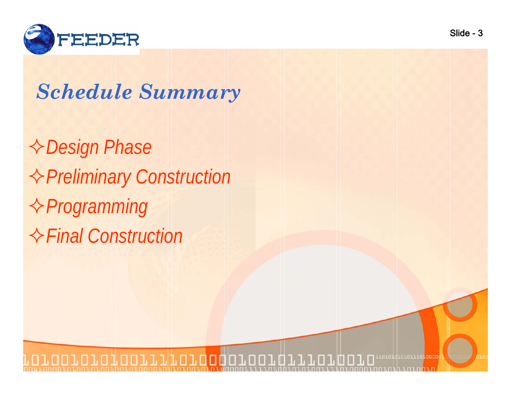

#### *Schedule Summary*

*Design Phase Preliminary Construction Programming Final Construction*

roromarororranonon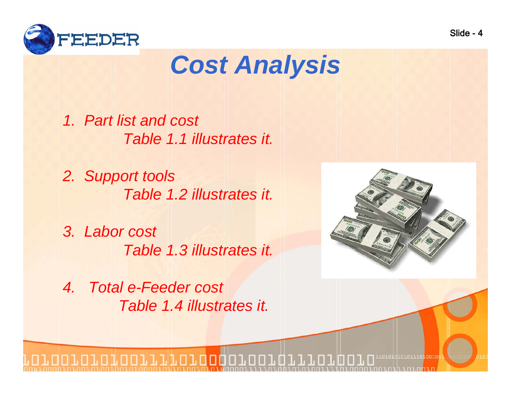

# *Cost Analysis*

*1. Part list and cost Table 1.1 illustrates it.* 

*2. Support tools Table 1.2 illustrates it.* 

*3. Labor cost Table 1.3 illustrates it.* 

*4. Total e-Feeder cost Table 1.4 illustrates it.* 



.n.n.d.o.n...n.n.ono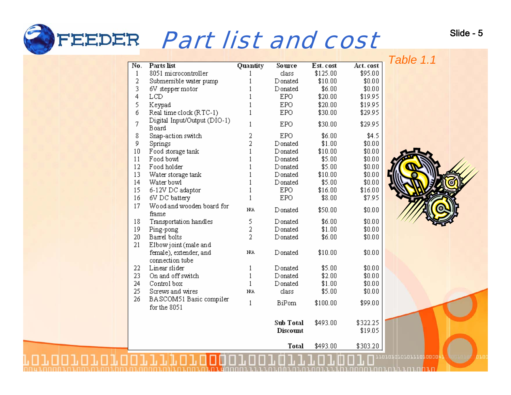# Part list and cost

No.

|        |                                           |                |              |           |           | Table 1.1 |
|--------|-------------------------------------------|----------------|--------------|-----------|-----------|-----------|
| No.    | Parts list                                | Quantity       | Source       | Est. cost | Act. cost |           |
| 1      | 8051 microcontroller                      |                | dass.        | \$125.00  | \$95.00   |           |
| 2      | Submersible water pump                    |                | Donated      | \$10.00   | \$0.00    |           |
| 3      | 6V stepper motor                          |                | Donated      | \$6.00    | \$0.00    |           |
| 4      | LCD                                       |                | <b>EPO</b>   | \$20.00   | \$19.95   |           |
| 5      | Keypad                                    |                | EPO.         | \$20.00   | \$19.95   |           |
| б      | Real time clock (RTC-1)                   |                | <b>EPO</b>   | \$30.00   | \$29.95   |           |
| 7      | Digital Input/Output (DIO-1)<br>Board     | 1              | <b>EPO</b>   | \$30.00   | \$29.95   |           |
| 8      | Snap-action switch                        | 2              | <b>EPO</b>   | \$6.00    | \$4.5     |           |
| 9      | Springs                                   | 2              | Donated      | \$1.00    | \$0.00    |           |
| 10     | Food storage tank                         |                | Donated      | \$10.00   | \$0.00    |           |
| 11     | Food bowl                                 |                | Donated      | \$5.00    | \$0.00    |           |
| 12     | Food holder                               |                | Donated      | \$5.00    | \$0.00    |           |
| 13     | Water storage tank                        |                | Donated      | \$10.00   | \$0.00    |           |
| 14     | Water bowl                                |                | Donated      | \$5.00    | \$0.00    |           |
| 15     | 6-12V DC adaptor                          | 1              | <b>EPO</b>   | \$16.00   | \$16.00   |           |
| 16     | 6V DC battery                             | 1              | <b>EPO</b>   | \$8.00    | \$7.95    |           |
| 17     | Wood and wooden board for<br>frame        | NΑ             | Donated      | \$50.00   | \$0.00    |           |
| 18     | Transportation handles                    | 5              | Donated      | \$6.00    | \$0.00    |           |
| 19     | Ping-pong                                 | 2              | Donated      | \$1.00    | \$0.00    |           |
| $20\,$ | Barrel bolts                              | $\overline{2}$ | Donated      | \$6.00    | \$0.00    |           |
| 21     | Elbow joint (male and                     |                |              |           |           |           |
|        | female), extender, and<br>connection tube | NA.            | Donated      | \$10.00   | \$0.00    |           |
| 22     | Linear slider                             | 1              | Donated      | \$5.00    | \$0.00    |           |
| 23     | On and off switch                         | 1              | Donated      | \$2.00    | \$0.00    |           |
| 24     | Control box                               | $\mathbf{1}$   | Donated      | \$1.00    | \$0.00    |           |
| 25     | Screws and wires                          | <b>NA</b>      | class        | \$5.00    | \$0.00    |           |
| 26     | BASCOM51 Basic compiler                   |                |              |           |           |           |
|        | for the 8051                              | 1              | <b>BiPom</b> | \$100.00  | \$99.00   |           |
|        |                                           |                | Sub Total    | \$493.00  | \$322.25  |           |
|        |                                           |                | Discount     |           | \$19.05   |           |
|        |                                           |                | <b>Total</b> | \$493.00  | \$303.20  |           |



rereigrererre<mark>reeee</mark>

Slide - 5

Total \$493.00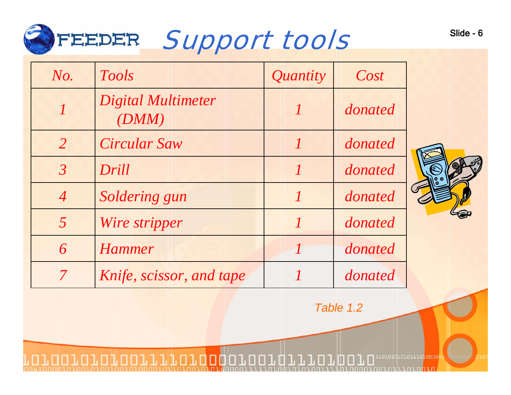

| No.                     | <b>Tools</b>                       | Quantity | Cost    |  |
|-------------------------|------------------------------------|----------|---------|--|
|                         | <b>Digital Multimeter</b><br>(DMM) |          | donated |  |
| $\overline{2}$          | <b>Circular Saw</b>                |          | donated |  |
| $\overline{\mathbf{3}}$ | Drill                              |          | donated |  |
| $\overline{4}$          | Soldering gun                      |          | donated |  |
| $\overline{5}$          | Wire stripper                      |          | donated |  |
| 6                       | <b>Hammer</b>                      |          | donated |  |
| $\mathcal T$            | Knife, scissor, and tape           |          | donated |  |

*Table 1.2*

roroqqrororror<mark>oooo</mark>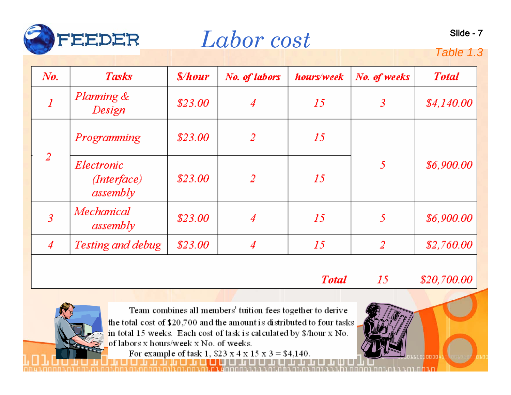

*Labor cost* slide-7

#### Table 1.3

| $N_{0.}$       | <b>Tasks</b>                          | <i><b>Shour</b></i> | No. of labors | hours/week | No. of weeks | <b>Total</b> |
|----------------|---------------------------------------|---------------------|---------------|------------|--------------|--------------|
|                | <i>Planning &amp;</i><br>Design       | \$23.00             | 4             | 15         | 3            | \$4,140.00   |
|                | Programming                           | \$23.00             | 2             | 15         | 5            | \$6,900.00   |
| 2              | Electronic<br>(Interface)<br>assembly | \$23.00             | 2             | 15         |              |              |
| 3              | Mechanical<br>assembly                | \$23.00             | 4             | 15         | 5            | \$6,900.00   |
| $\overline{4}$ | Testing and debug                     | \$23.00             | 4             | 15         | 2            | \$2,760.00   |

**Total** 

15

\$20,700.00

Team combines all members' tuition fees together to derive the total cost of \$20,700 and the amount is distributed to four tasks in total 15 weeks. Each cost of task is calculated by \$/hour x No. of labors x hours/week x No. of weeks.

For example of task 1,  $$23 \times 4 \times 15 \times 3 = $4,140$ .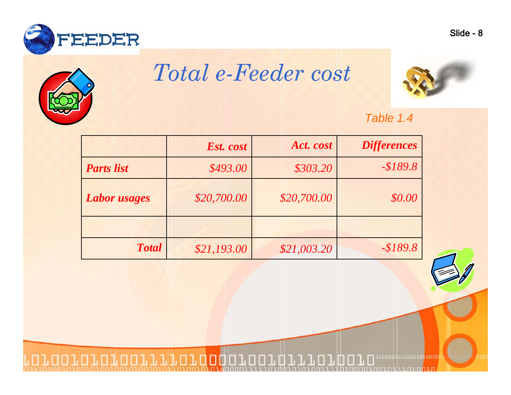



## *Total e-Feeder cost*





|                     | Est. cost   | Act. cost   | <b>Differences</b> |
|---------------------|-------------|-------------|--------------------|
| <b>Parts</b> list   | \$493.00    | \$303.20    | $- $189.8$         |
| <i>Labor usages</i> | \$20,700.00 | \$20,700.00 | \$0.00             |
|                     |             |             |                    |
| <b>Total</b>        | \$21,193.00 | \$21,003.20 | $-$189.8$          |



rereigrererrerenen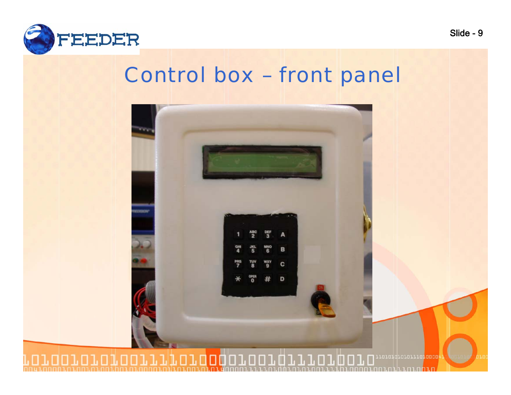

#### Control box – front panel

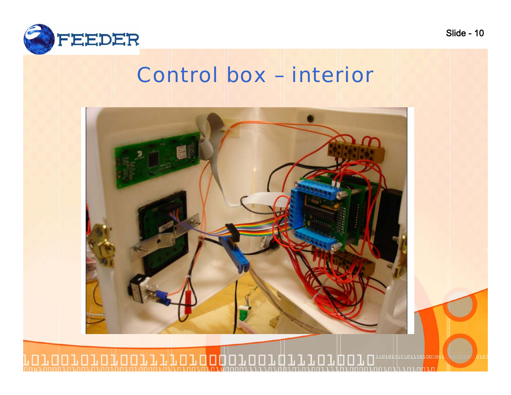

#### Control box – interior



Slide - 10

ıп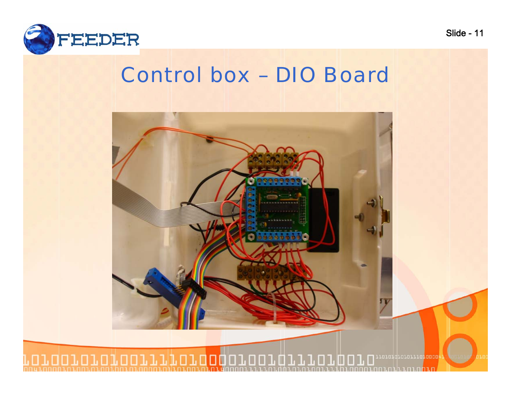

#### Control box – DIO Board

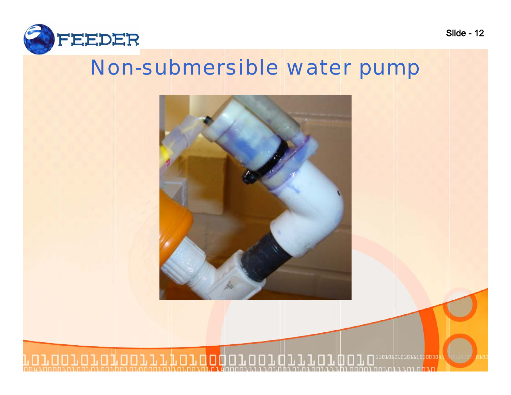

#### Non-submersible water pump



roroqqrororro**roooo** П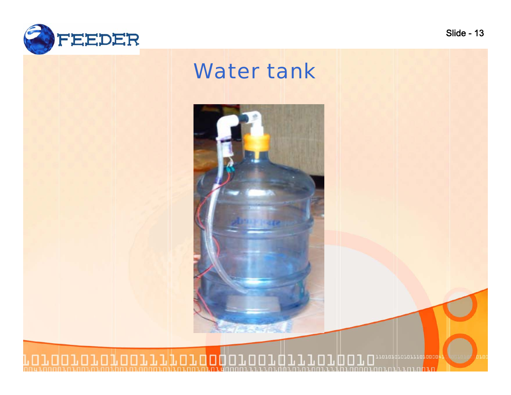

#### Water tank

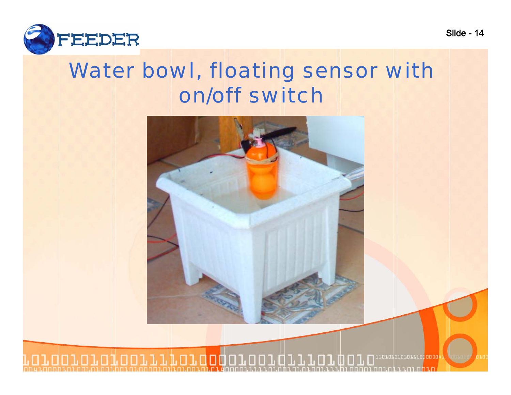

#### Water bowl, floating sensor with on/off switch

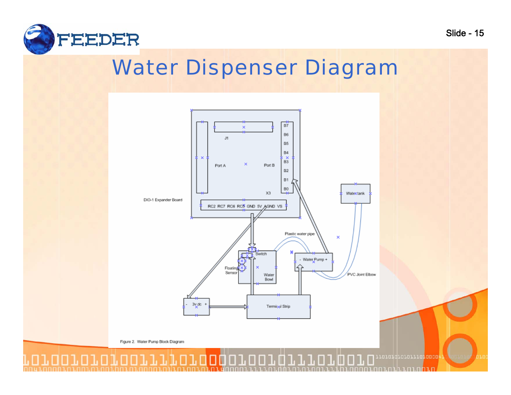

#### Water Dispenser Diagram



Slide - 15

Figure 2. Water Pump Block Diagram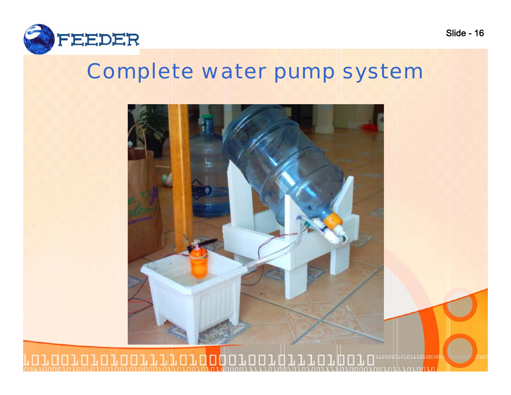

#### Complete water pump system



#### roromarororranonon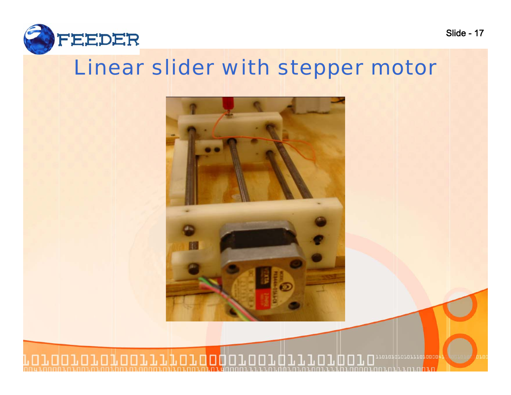

#### Linear slider with stepper motor



roroqqrororro**roooo**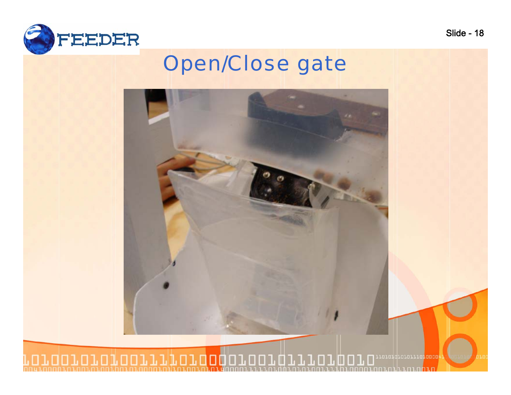

#### Open/Close gate

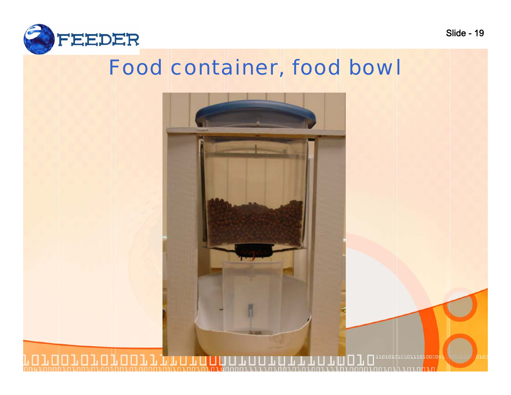

#### Food container, food bowl

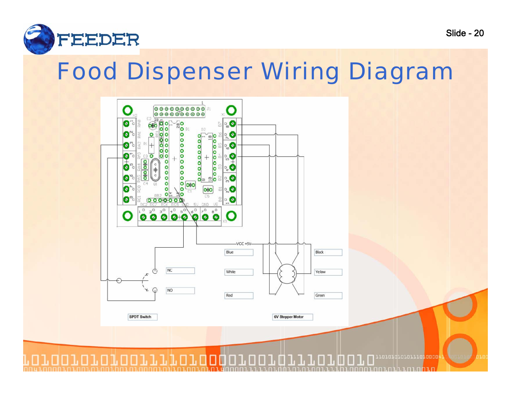

## Food Dispenser Wiring Diagram

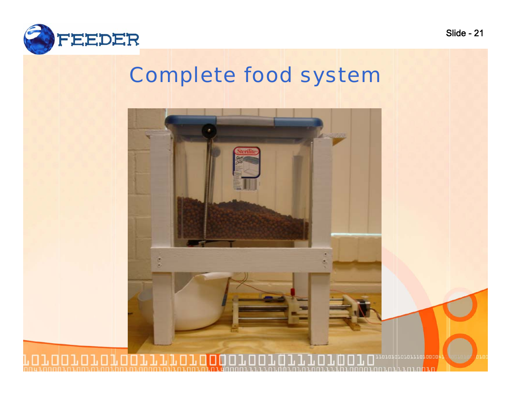

#### Complete food system

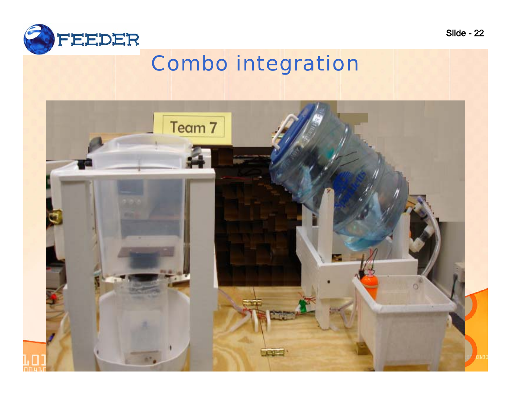

#### Combo integration